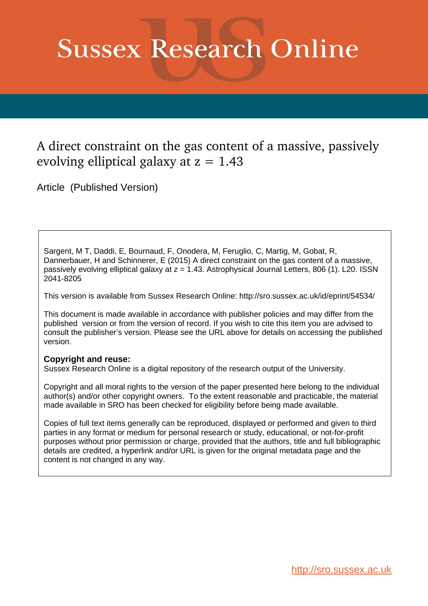# **Sussex Research Online**

## A direct constraint on the gas content of a massive, passively evolving elliptical galaxy at  $z = 1.43$

Article (Published Version)

Sargent, M T, Daddi, E, Bournaud, F, Onodera, M, Feruglio, C, Martig, M, Gobat, R, Dannerbauer, H and Schinnerer, E (2015) A direct constraint on the gas content of a massive, passively evolving elliptical galaxy at  $z = 1.43$ . Astrophysical Journal Letters, 806 (1). L20. ISSN 2041-8205

This version is available from Sussex Research Online: http://sro.sussex.ac.uk/id/eprint/54534/

This document is made available in accordance with publisher policies and may differ from the published version or from the version of record. If you wish to cite this item you are advised to consult the publisher's version. Please see the URL above for details on accessing the published version.

### **Copyright and reuse:**

Sussex Research Online is a digital repository of the research output of the University.

Copyright and all moral rights to the version of the paper presented here belong to the individual author(s) and/or other copyright owners. To the extent reasonable and practicable, the material made available in SRO has been checked for eligibility before being made available.

Copies of full text items generally can be reproduced, displayed or performed and given to third parties in any format or medium for personal research or study, educational, or not-for-profit purposes without prior permission or charge, provided that the authors, title and full bibliographic details are credited, a hyperlink and/or URL is given for the original metadata page and the content is not changed in any way.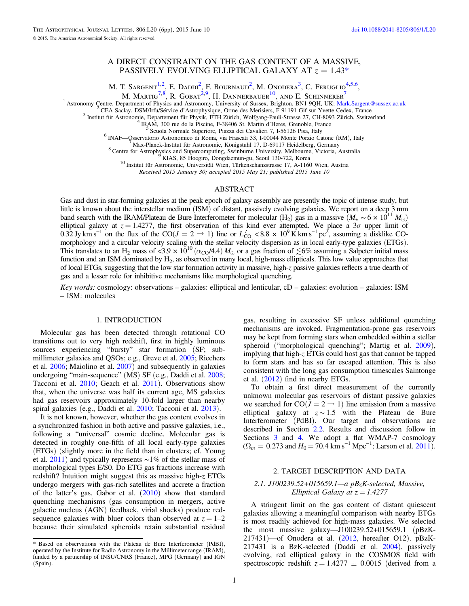#### A DIRECT CONSTRAINT ON THE GAS CONTENT OF A MASSIVE, PASSIVELY EVOLVING ELLIPTICAL GALAXY AT  $z = 1.43*$

M. T. SARGENT<sup>1,2</sup>, E. Daddi<sup>2</sup>, F. Bournaud<sup>2</sup>, M. Onodera<sup>3</sup>, C. Feruglio<sup>4,5,6</sup>.

M. Martig<sup>7,8</sup>, R. Gobat<sup>2,9</sup>, H. Dannerbauer<sup>10</sup>, and E. Schinnerer<sup>7</sup>

<span id="page-1-0"></span><sup>1</sup> Astronomy Centre, Department of Physics and Astronomy, University of Sussex, Brighton, BN1 9QH, UK; [Mark.Sargent@sussex.ac.uk](mailto:Mark.Sargent@sussex.ac.uk) <sup>2</sup> CEA Saclay, DSM/Irfu/Sérvice d'Astrophysique, Orme des Merisiers, F-91191 Gif-sur-Yvett

Received 2015 January 30; accepted 2015 May 21; published 2015 June 10

#### ABSTRACT

Gas and dust in star-forming galaxies at the peak epoch of galaxy assembly are presently the topic of intense study, but little is known about the interstellar medium (ISM) of distant, passively evolving galaxies. We report on a deep 3 mm band search with the IRAM/Plateau de Bure Interferometer for molecular (H<sub>2</sub>) gas in a massive ( $M_{\star} \sim 6 \times 10^{11} M_{\odot}$ ) elliptical galaxy at  $z = 1.4277$ , the first observation of this kind ever attempted. We place a  $3\sigma$  upper limit of  $0.32$  Jy km s<sup>-1</sup> on the flux of the CO( $J = 2 \rightarrow 1$ ) line or  $L'_{\text{CO}} < 8.8 \times 10^9$  K km s<sup>-1</sup> pc<sup>2</sup>, assuming a disklike COmorphology and a circular velocity scaling with the stellar velocity dispersion as in local early-type galaxies (ETGs). This translates to an H<sub>2</sub> mass of <3.9  $\times$  10<sup>10</sup> ( $\alpha_{\text{CO}}$ /4.4)  $M_{\odot}$  or a gas fraction of  $\lesssim$ 6% assuming a Salpeter initial mass function and an ISM dominated by  $H_2$ , as observed in many local, high-mass ellipticals. This low value approaches that of local ETGs, suggesting that the low star formation activity in massive, high-z passive galaxies reflects a true dearth of gas and a lesser role for inhibitive mechanisms like morphological quenching.

Key words: cosmology: observations – galaxies: elliptical and lenticular,  $cD -$  galaxies: evolution – galaxies: ISM – ISM: molecules

#### 1. INTRODUCTION

Molecular gas has been detected through rotational CO transitions out to very high redshift, first in highly luminous sources experiencing "bursty" star formation (SF; submillimeter galaxies and QSOs; e.g., Greve et al. [2005](#page-6-0); Riechers et al. [2006](#page-6-0); Maiolino et al. [2007](#page-6-0)) and subsequently in galaxies undergoing "main-sequence" (MS) SF (e.g., Daddi et al. [2008](#page-6-0); Tacconi et al. [2010](#page-6-0); Geach et al. [2011](#page-6-0)). Observations show that, when the universe was half its current age, MS galaxies had gas reservoirs approximately 10-fold larger than nearby spiral galaxies (e.g., Daddi et al. [2010](#page-6-0); Tacconi et al. [2013](#page-6-0)).

It is not known, however, whether the gas content evolves in a synchronized fashion in both active and passive galaxies, i.e., following a "universal" cosmic decline. Molecular gas is detected in roughly one-fifth of all local early-type galaxies (ETGs) (slightly more in the field than in clusters; cf. Young et al. [2011](#page-6-0)) and typically represents ∼1% of the stellar mass of morphological types E/S0. Do ETG gas fractions increase with redshift? Intuition might suggest this as massive high-z ETGs undergo mergers with gas-rich satellites and accrete a fraction of the latter's gas. Gabor et al.  $(2010)$  $(2010)$  $(2010)$  show that standard quenching mechanisms (gas consumption in mergers, active galactic nucleus (AGN) feedback, virial shocks) produce redsequence galaxies with bluer colors than observed at  $z = 1-2$ because their simulated spheroids retain substantial residual gas, resulting in excessive SF unless additional quenching mechanisms are invoked. Fragmentation-prone gas reservoirs may be kept from forming stars when embedded within a stellar spheroid ("morphological quenching"; Martig et al. [2009](#page-6-0)), implying that high-z ETGs could host gas that cannot be tapped to form stars and has so far escaped attention. This is also consistent with the long gas consumption timescales Saintonge et al. ([2012](#page-6-0)) find in nearby ETGs.

To obtain a first direct measurement of the currently unknown molecular gas reservoirs of distant passive galaxies we searched for  $CO(J = 2 \rightarrow 1)$  line emission from a massive elliptical galaxy at  $z \sim 1.5$  with the Plateau de Bure Interferometer (PdBI). Our target and observations are described in Section [2.2.](#page-2-0) Results and discussion follow in Sections [3](#page-2-0) and [4](#page-3-0). We adopt a flat WMAP-7 cosmology  $(\Omega_m = 0.273$  and  $H_0 = 70.4$  km s<sup>-1</sup> Mpc<sup>-1</sup>; Larson et al. [2011](#page-6-0)).

#### 2. TARGET DESCRIPTION AND DATA

#### 2.1. J100239.52+015659.1—a pBzK-selected, Massive, Elliptical Galaxy at  $z = 1.4277$

A stringent limit on the gas content of distant quiescent galaxies allowing a meaningful comparison with nearby ETGs is most readily achieved for high-mass galaxies. We selected the most massive galaxy—J100239.52+015659.1 (pBzK-217431)—of Onodera et al. ([2012,](#page-6-0) hereafter O12). pBzK-217431 is a BzK-selected (Daddi et al. [2004](#page-6-0)), passively evolving, red elliptical galaxy in the COSMOS field with spectroscopic redshift  $z = 1.4277 \pm 0.0015$  (derived from a

<sup>\*</sup> Based on observations with the Plateau de Bure Interferometer (PdBI), operated by the Institute for Radio Astronomy in the Millimeter range (IRAM), funded by a partnership of INSU/CNRS (France), MPG (Germany) and IGN (Spain).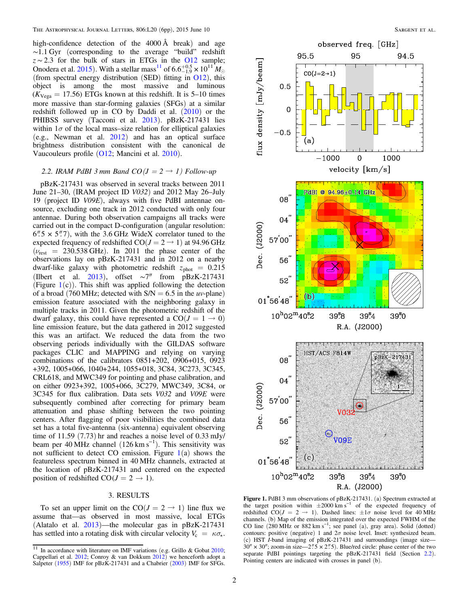<span id="page-2-0"></span>high-confidence detection of the 4000 Å break) and age ∼1.1 Gyr (corresponding to the average "build" redshift  $z \sim 2.3$  for the bulk of stars in ETGs in the [O12](#page-6-0) sample; Onodera et al. [2015](#page-6-0)). With a stellar mass<sup>11</sup> of  $6.6^{+0.5}_{-1.9} \times 10^{11} M_{\odot}$ (from spectral energy distribution (SED) fitting in  $O(12)$ , this object is among the most massive and luminous  $(K_{\text{Vega}} = 17.56)$  ETGs known at this redshift. It is 5–10 times more massive than star-forming galaxies (SFGs) at a similar redshift followed up in CO by Daddi et al. ([2010](#page-6-0)) or the PHIBSS survey (Tacconi et al. [2013](#page-6-0)). pBzK-217431 lies within  $1\sigma$  of the local mass–size relation for elliptical galaxies (e.g., Newman et al. [2012](#page-6-0)) and has an optical surface brightness distribution consistent with the canonical de Vaucouleurs profile ([O12](#page-6-0); Mancini et al. [2010](#page-6-0)).

#### 2.2. IRAM PdBI 3 mm Band  $CO(J = 2 \rightarrow 1)$  Follow-up

pBzK-217431 was observed in several tracks between 2011 June 21–30, (IRAM project ID V032) and 2012 May 26–July 19 (project ID V09E), always with five PdBI antennae onsource, excluding one track in 2012 conducted with only four antennae. During both observation campaigns all tracks were carried out in the compact D-configuration (angular resolution:  $6\%5 \times 5\%7$ , with the 3.6 GHz WideX correlator tuned to the expected frequency of redshifted  $CO(J = 2 \rightarrow 1)$  at 94.96 GHz  $(\nu_{\text{rest}} = 230.538 \text{ GHz})$ . In 2011 the phase center of the observations lay on pBzK-217431 and in 2012 on a nearby dwarf-like galaxy with photometric redshift  $z<sub>phot</sub> = 0.215$ (Ilbert et al. [2013](#page-6-0)), offset ∼7″ from pBzK-217431 (Figure  $1(c)$ ). This shift was applied following the detection of a broad (760 MHz; detected with  $S/N = 6.5$  in the *uv*-plane) emission feature associated with the neighboring galaxy in multiple tracks in 2011. Given the photometric redshift of the dwarf galaxy, this could have represented a  $CO(J = 1 \rightarrow 0)$ line emission feature, but the data gathered in 2012 suggested this was an artifact. We reduced the data from the two observing periods individually with the GILDAS software packages CLIC and MAPPING and relying on varying combinations of the calibrators 0851+202, 0906+015, 0923 +392, 1005+066, 1040+244, 1055+018, 3C84, 3C273, 3C345, CRL618, and MWC349 for pointing and phase calibration, and on either 0923+392, 1005+066, 3C279, MWC349, 3C84, or 3C345 for flux calibration. Data sets V032 and V09E were subsequently combined after correcting for primary beam attenuation and phase shifting between the two pointing centers. After flagging of poor visibilities the combined data set has a total five-antenna (six-antenna) equivalent observing time of 11.59 (7.73) hr and reaches a noise level of 0.33 mJy/ beam per 40 MHz channel (126 km s<sup>-1</sup>). This sensitivity was not sufficient to detect CO emission. Figure  $1(a)$  shows the featureless spectrum binned in 40 MHz channels, extracted at the location of pBzK-217431 and centered on the expected position of redshifted  $CO(J = 2 \rightarrow 1)$ .

#### 3. RESULTS

To set an upper limit on the CO( $J = 2 \rightarrow 1$ ) line flux we assume that—as observed in most massive, local ETGs (Alatalo et al. [2013](#page-6-0))—the molecular gas in pBzK-217431 has settled into a rotating disk with circular velocity  $V_c = \kappa \sigma_{\star}$ .



Figure 1. PdBI 3 mm observations of pBzK-217431. (a) Spectrum extracted at the target position within  $\pm 2000 \text{ km s}^{-1}$  of the expected frequency of redshifted CO( $J = 2 \rightarrow 1$ ). Dashed lines:  $\pm 1\sigma$  noise level for 40 MHz channels. (b) Map of the emission integrated over the expected FWHM of the CO line  $(280 \text{ MHz or } 882 \text{ km s}^{-1})$ ; see panel (a), gray area). Solid (dotted) contours: positive (negative) 1 and  $2\sigma$  noise level. Inset: synthesized beam. (c) HST  $I$ -band imaging of pBzK-217431 and surroundings (image size—  $30'' \times 30''$ ; zoom-in size—2".5  $\times$  2".5). Blue/red circle: phase center of the two separate PdBI pointings targeting the pBzK-217431 field (Section 2.2). Pointing centers are indicated with crosses in panel (b).

 $\frac{11}{11}$  In accordance with literature on IMF variations (e.g. Grillo & Gobat [2010;](#page-6-0) Cappellari et al.  $2012$ ; Conroy & van Dokkum  $2012$ ) we henceforth adopt a Salpeter ([1955](#page-6-0)) IMF for pBzK-217431 and a Chabrier ([2003](#page-6-0)) IMF for SFGs.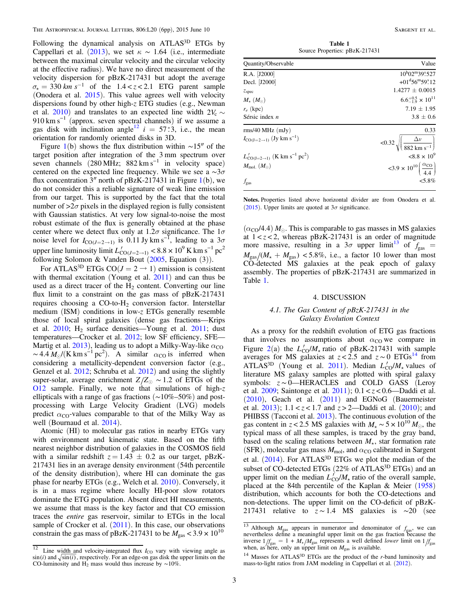<span id="page-3-0"></span>Following the dynamical analysis on ATLAS<sup>3D</sup> ETGs by Cappellari et al. ([2013](#page-6-0)), we set  $\kappa \sim 1.64$  (i.e., intermediate between the maximal circular velocity and the circular velocity at the effective radius). We have no direct measurement of the velocity dispersion for pBzK-217431 but adopt the average  $\sigma_{\rm t} = 330$  km s<sup>-1</sup> of the 1.4 < z < 2.1 ETG parent sample (Onodera et al. [2015](#page-6-0)). This value agrees well with velocity dispersions found by other high-z ETG studies (e.g., Newman et al. [2010](#page-6-0)) and translates to an expected line width  $2V_c \sim$ 910 km s<sup>-1</sup> (approx. seven spectral channels) if we assume a gas disk with inclination angle<sup>12</sup>  $i = 57°3$ , i.e., the mean orientation for randomly oriented disks in 3D.

Figure [1](#page-2-0)(b) shows the flux distribution within  $\sim$ 15″ of the target position after integration of the 3 mm spectrum over seven channels  $(280 \text{ MHz}; 882 \text{ km s}^{-1} \text{ in velocity space})$ centered on the expected line frequency. While we see a  $\sim 3\sigma$ flux concentration  $3''$  north of pBzK-2[1](#page-2-0)7431 in Figure 1(b), we do not consider this a reliable signature of weak line emission from our target. This is supported by the fact that the total number of  $>2\sigma$  pixels in the displayed region is fully consistent with Gaussian statistics. At very low signal-to-noise the most robust estimate of the flux is generally obtained at the phase center where we detect flux only at  $1.2\sigma$  significance. The  $1\sigma$ noise level for  $I_{\text{CO}(J=2\rightarrow 1)}$  is 0.11 Jy km s<sup>-1</sup>, leading to a 3 $\sigma$ upper line luminosity limit  $L'_{CO(J=2\rightarrow 1)}$  <  $8.8 \times 10^9$  K km s<sup>-1</sup> pc<sup>2</sup> following Solomon & Vanden Bout  $(2005,$  $(2005,$  $(2005,$  Equation  $(3)$ ).

For ATLAS<sup>3D</sup> ETGs CO( $J = 2 \rightarrow 1$ ) emission is consistent with thermal excitation (Young et al. [2011](#page-6-0)) and can thus be used as a direct tracer of the  $H<sub>2</sub>$  content. Converting our line flux limit to a constraint on the gas mass of pBzK-217431 requires choosing a CO-to-H<sub>2</sub> conversion factor. Interstellar medium (ISM) conditions in low-z ETGs generally resemble those of local spiral galaxies (dense gas fractions—Krips et al.  $2010$ ; H<sub>2</sub> surface densities—Young et al.  $2011$ ; dust temperatures—Crocker et al. [2012;](#page-6-0) low SF efficiency, SFE— Martig et al. [2013](#page-6-0)), leading us to adopt a Milky-Way-like  $\alpha_{\text{CO}}$  $\sim 4.4 M_{\odot} / (K \text{ km s}^{-1} \text{ pc}^2)$ . A similar  $\alpha_{\text{CO}}$  is inferred when considering a metallicity-dependent conversion factor (e.g., Genzel et al. [2012;](#page-6-0) Schruba et al. [2012](#page-6-0)) and using the slightly super-solar, average enrichment *Z*/*Z*<sub>⊙</sub> ~ 1.2 of ETGs of the [O12](#page-6-0) sample. Finally, we note that simulations of high-z ellipticals with a range of gas fractions (∼10%–50%) and postprocessing with Large Velocity Gradient (LVG) models predict  $\alpha_{\rm CO}$ -values comparable to that of the Milky Way as well (Bournaud et al. [2014](#page-6-0)).

Atomic (HI) to molecular gas ratios in nearby ETGs vary with environment and kinematic state. Based on the fifth nearest neighbor distribution of galaxies in the COSMOS field with a similar redshift  $z = 1.43 \pm 0.2$  as our target, pBzK-217431 lies in an average density environment (54th percentile of the density distribution), where HI can dominate the gas phase for nearby ETGs (e.g., Welch et al. [2010](#page-6-0)). Conversely, it is in a mass regime where locally HI-poor slow rotators dominate the ETG population. Absent direct HI measurements, we assume that mass is the key factor and that CO emission traces the entire gas reservoir, similar to ETGs in the local sample of Crocker et al.  $(2011)$  $(2011)$  $(2011)$ . In this case, our observations constrain the gas mass of pBzK-217431 to be  $M_{\text{gas}} < 3.9 \times 10^{10}$ 

Table 1 Source Properties: pBzK-217431

| Quantity/Observable                                                        | Value                                                               |
|----------------------------------------------------------------------------|---------------------------------------------------------------------|
| R.A. [J2000]                                                               | $10^{h}02^{m}39^{s}527$                                             |
| Decl. [J2000]                                                              | $+01^{\rm d}56^{\rm m}59^{\rm s}12$                                 |
| z <sub>spec</sub>                                                          | $1.4277 \pm 0.0015$                                                 |
| $M_{\star}(M_{\odot})$                                                     | $6.6^{+0.5}_{-1.9} \times 10^{11}$                                  |
| $r_e$ (kpc)                                                                | $7.19 \pm 1.95$                                                     |
| Sérsic index $n$                                                           | $3.8 \pm 0.6$                                                       |
| rms/40 MHz (mJy)                                                           | 0.33                                                                |
| $I_{\text{CO}(J=2\rightarrow 1)}$ (Jy km s <sup>-1</sup> )                 | $< 0.32 \sqrt{\left(\frac{\Delta v}{882 \text{ km s}^{-1}}\right)}$ |
| $L'_{\text{CO}(J=2\rightarrow 1)}$ (K km s <sup>-1</sup> pc <sup>2</sup> ) | $< 8.8 \times 10^{9}$                                               |
| $M_{\text{mol.}}(M_{\odot})$                                               | $<3.9 \times 10^{10} \left( \frac{\alpha_{\text{CO}}}{44} \right)$  |
| $f_{\rm gas}$                                                              | $5.8\%$                                                             |

Notes. Properties listed above horizontal divider are from Onodera et al. ([2015](#page-6-0)). Upper limits are quoted at  $3\sigma$  significance.

 $(\alpha_{\rm CO}/4.4)$  *M*. This is comparable to gas masses in MS galaxies at  $1 < z < 2$ , whereas pBzK-217431 is an order of magnitude more massive, resulting in a  $3\sigma$  upper limit<sup>13</sup> of  $f_{\text{gas}}$  =  $M_{\rm gas}/(M_{\star} + M_{\rm gas})$  <5.8%, i.e., a factor 10 lower than most CO-detected MS galaxies at the peak epoch of galaxy assembly. The properties of pBzK-217431 are summarized in Table 1.

#### 4. DISCUSSION

#### 4.1. The Gas Content of pBzK-217431 in the Galaxy Evolution Context

As a proxy for the redshift evolution of ETG gas fractions that involves no assumptions about  $\alpha_{\text{CO}}$  we compare in Figure [2](#page-4-0)(a) the  $L'_{\text{CO}}/M_{\star}$  ratio of pBzK-217431 with sample averages for MS galaxies at  $z < 2.5$  and  $z \sim 0$  ETGs<sup>14</sup> from ATLAS<sup>3D</sup> (Young et al. [2011](#page-6-0)). Median  $L'_{\rm CO}/M_{\star}$  values of literature MS galaxy samples are plotted with spiral galaxy symbols: z ~ 0—HERACLES and COLD GASS (Leroy et al.  $2009$ ; Saintonge et al.  $2011$ );  $0.1 < z < 0.6$ —Daddi et al. ([2010](#page-6-0)), Geach et al. ([2011](#page-6-0)) and EGNoG (Bauermeister et al.  $2013$ );  $1.1 < z < 1.7$  and  $z > 2$ —Daddi et al.  $(2010)$  $(2010)$  $(2010)$ ; and PHIBSS (Tacconi et al. [2013](#page-6-0)). The continuous evolution of the gas content in z < 2.5 MS galaxies with  $M_{\star} \sim 5 \times 10^{10} M_{\odot}$ , the typical mass of all these samples, is traced by the gray band, based on the scaling relations between  $M_{\star}$ , star formation rate (SFR), molecular gas mass  $M_{\text{mol}}$ , and  $\alpha_{\text{CO}}$  calibrated in Sargent et al.  $(2014)$  $(2014)$  $(2014)$ . For ATLAS<sup>3D</sup> ETGs we plot the median of the subset of CO-detected ETGs (22% of ATLAS<sup>3D</sup> ETGs) and an upper limit on the median  $L_{\text{CO}}^f / M_{\star}$  ratio of the overall sample, placed at the 84th percentile of the Kaplan & Meier ([1958](#page-6-0)) distribution, which accounts for both the CO-detections and non-detections. The upper limit on the CO-deficit of pBzK-217431 relative to  $z \sim 1.4$  MS galaxies is ∼20 (see

<sup>&</sup>lt;sup>12</sup> Line width and velocity-integrated flux  $I_{\text{CO}}$  vary with viewing angle as  $\sin(i)$  and  $\sqrt{\sin(i)}$ , respectively. For an edge-on gas disk the upper limits on the CO-luminosity and H<sub>2</sub> mass would thus increase by ~10%.

<sup>&</sup>lt;sup>13</sup> Although  $M_{\text{gas}}$  appears in numerator and denominator of  $f_{\text{gas}}$ , we can nevertheless define a meaningful upper limit on the gas fraction because the inverse  $1/f_{\text{gas}} = 1 + M_{*}/M_{\text{gas}}$  represents a well defined *lower* limit on  $1/f_{\text{gas}}$  when, as here, only an upper limit on  $M_{\text{gas}}$  is available.

<sup>&</sup>lt;sup>14</sup> Masses for ATLAS<sup>3D</sup> ETGs are the product of the *r*-band luminosity and mass-to-light ratios from JAM modeling in Cappellari et al. ([2012](#page-6-0)).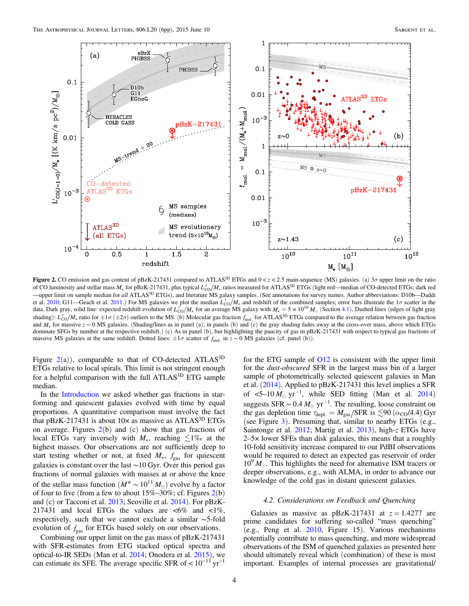<span id="page-4-0"></span>

Figure 2. CO emission and gas content of pBzK-217431 compared to ATLAS<sup>3D</sup> ETGs and  $0 < z < 2.5$  main-sequence (MS) galaxies. (a)  $3\sigma$  upper limit on the ratio of CO luminosity and stellar mass  $M_*$  for pBzK-217431, plus typical  $L'_{\text{CO}}/M_*$  ratios measured for ATLAS<sup>3D</sup> ETGs (light red—median of CO-detected ETGs; dark red —upper limit on sample median for all ATLAS3D ETGs), and literature MS galaxy samples. (See annotations for survey names. Author abbreviations: D10b—Daddi et al. [2010](#page-6-0); G11—Geach et al. [2011](#page-6-0).) For MS galaxies we plot the median  $L'_{\rm CO}/M_{\star}$  and redshift of the combined samples; error bars illustrate the 1 $\sigma$  scatter in the data. Dark gray, solid line: expected redshift evolution of  $L_{\text{CO}}^{\text{F}}/M_{\star}$  for an average MS galaxy with  $M_{\star} = 5 \times 10^{10} M_{\odot}$  (Section [4.1](#page-3-0)). Dashed lines (edges of light gray shading):  $L'_{\rm CO}/M_{\star}$  ratio for  $\pm 1\sigma$  ( $\pm 2\sigma$ ) outliers to the MS. (b) Molecular gas fraction  $f_{\rm mol}$  for ATLAS<sup>3D</sup> ETGs compared to the average relation between gas fraction and  $M_{\star}$  for massive  $z \sim 0$  MS galaxies. (Shading/lines as in panel (a); in panels (b) and (c) the gray shading fades away at the cross-over mass, above which ETGs dominate SFGs by number at the respective redshift.) (c) As in panel (b), but highlighting the paucity of gas in pBzK-217431 with respect to typical gas fractions of massive MS galaxies at the same redshift. Dotted lines: ±1σ scatter of *f* mol. in z ∼ 0 MS galaxies (cf. panel (b)).

Figure  $2(a)$ ), comparable to that of CO-detected ATLAS<sup>3D</sup> ETGs relative to local spirals. This limit is not stringent enough for a helpful comparison with the full ATLAS<sup>3D</sup> ETG sample median.

In the [Introduction](#page-1-0) we asked whether gas fractions in starforming and quiescent galaxies evolved with time by equal proportions. A quantitative comparison must involve the fact that  $pBzK-217431$  is about  $10\times$  as massive as ATLAS<sup>3D</sup> ETGs on average. Figures  $2(b)$  and (c) show that gas fractions of local ETGs vary inversely with  $M_{\star}$ , reaching  $\leq 1\%$  at the highest masses. Our observations are not sufficiently deep to start testing whether or not, at fixed  $M_{\star}$ ,  $f_{\text{gas}}$  for quiescent galaxies is constant over the last ∼10 Gyr. Over this period gas fractions of normal galaxies with masses at or above the knee of the stellar mass function ( $M^* \sim 10^{11} M_{\odot}$ ) evolve by a factor of four to five (from a few to about  $15\% - 30\%$ ; cf. Figures  $2(b)$ and (c) or Tacconi et al. [2013;](#page-6-0) Scoville et al. [2014](#page-6-0)). For pBzK-217431 and local ETGs the values are  $\langle 6\% \rangle$  and  $\langle 1\% \rangle$ respectively, such that we cannot exclude a similar ∼5-fold evolution of *f* gas for ETGs based solely on our observations.

Combining our upper limit on the gas mass of pBzK-217431 with SFR-estimates from ETG stacked optical spectra and optical-to-IR SEDs (Man et al. [2014;](#page-6-0) Onodera et al. [2015](#page-6-0)), we can estimate its SFE. The average specific SFR of  $< 10^{-11}$  yr<sup>-1</sup> for the ETG sample of [O12](#page-6-0) is consistent with the upper limit for the dust-obscured SFR in the largest mass bin of a larger sample of photometrically selected quiescent galaxies in Man et al. ([2014](#page-6-0)). Applied to pBzK-217431 this level implies a SFR of  $\leq 5-10 M_{\odot}$  yr<sup>-1</sup>, while SED fitting (Man et al. [2014](#page-6-0)) suggests SFR  $\sim 0.4 M_{\odot}$  yr<sup>-1</sup>. The resulting, loose constraint on the gas depletion time  $\tau_{\text{depl.}} = M_{\text{gas}} / \text{SFR}$  is  $\lesssim 90 \left(\alpha_{\text{CO}} / 4.4\right) \text{Gyr}$ (see Figure [3](#page-5-0)). Presuming that, similar to nearby ETGs (e.g., Saintonge et al. [2012;](#page-6-0) Martig et al. [2013](#page-6-0)), high-z ETGs have 2–5× lower SFEs than disk galaxies, this means that a roughly 10-fold sensitivity increase compared to our PdBI observations would be required to detect an expected gas reservoir of order  $10^{9}$   $M_{\odot}$ . This highlights the need for alternative ISM tracers or deeper observations, e.g., with ALMA, in order to advance our knowledge of the cold gas in distant quiescent galaxies.

#### 4.2. Considerations on Feedback and Quenching

Galaxies as massive as pBzK-217431 at  $z = 1.4277$  are prime candidates for suffering so-called "mass quenching" (e.g., Peng et al. [2010,](#page-6-0) Figure 15). Various mechanisms potentially contribute to mass quenching, and more widespread observations of the ISM of quenched galaxies as presented here should ultimately reveal which (combination) of these is most important. Examples of internal processes are gravitational/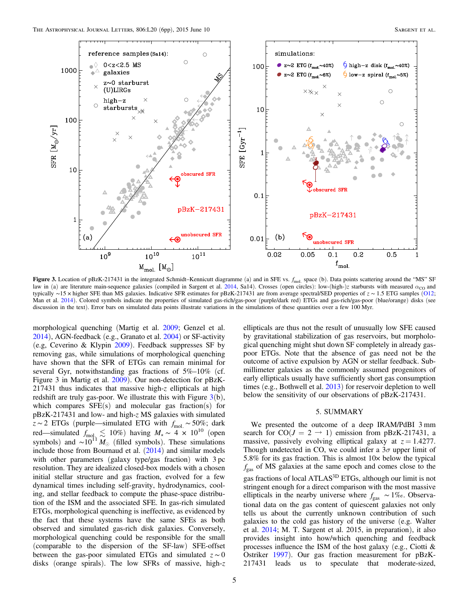<span id="page-5-0"></span>

**Figure 3.** Location of pBzK-217431 in the integrated Schmidt–Kennicutt diagramme (a) and in SFE vs.  $f_{\text{mol}}$  space (b). Data points scattering around the "MS" SF<br>law in (a) are literature main sequence colories (compiled law in (a) are literature main-sequence galaxies (compiled in Sargent et al. [2014,](#page-6-0) Sa14). Crosses (open circles): low-(high-)z starbursts with measured  $\alpha_{\text{CO}}$  and typically ∼15 × higher SFE than MS galaxies. Indicative SFR estimates for pBzK-217431 are from average spectral/SED properties of z ∼ 1.5 ETG samples ([O12;](#page-6-0) Man et al. [2014](#page-6-0)). Colored symbols indicate the properties of simulated gas-rich/gas-poor (purple/dark red) ETGs and gas-rich/gas-poor (blue/orange) disks (see discussion in the text). Error bars on simulated data points illustrate variations in the simulations of these quantities over a few 100 Myr.

morphological quenching (Martig et al. [2009;](#page-6-0) Genzel et al. [2014](#page-6-0)), AGN-feedback (e.g., Granato et al. [2004](#page-6-0)) or SF-activity (e.g, Ceverino & Klypin [2009](#page-6-0)). Feedback suppresses SF by removing gas, while simulations of morphological quenching have shown that the SFR of ETGs can remain minimal for several Gyr, notwithstanding gas fractions of 5%–10% (cf. Figure 3 in Martig et al. [2009](#page-6-0)). Our non-detection for pBzK-217431 thus indicates that massive high-z ellipticals at high redshift are truly gas-poor. We illustrate this with Figure  $3(b)$ , which compares  $SFE(s)$  and molecular gas fraction(s) for pBzK-217431 and low- and high-z MS galaxies with simulated z ∼ 2 ETGs (purple—simulated ETG with *f* mol. ∼ 50%; dark red—simulated  $f_{\text{mol}_1} \lesssim 10\%$ ) having  $M_{\star} \sim 4 \times 10^{10}$  (open symbols) and  $\sim 10^{11} M_{\odot}$  (filled symbols). These simulations include those from Bournaud et al.  $(2014)$  $(2014)$  $(2014)$  and similar models with other parameters (galaxy type/gas fraction) with 3 pc resolution. They are idealized closed-box models with a chosen initial stellar structure and gas fraction, evolved for a few dynamical times including self-gravity, hydrodynamics, cooling, and stellar feedback to compute the phase-space distribution of the ISM and the associated SFE. In gas-rich simulated ETGs, morphological quenching is ineffective, as evidenced by the fact that these systems have the same SFEs as both observed and simulated gas-rich disk galaxies. Conversely, morphological quenching could be responsible for the small (comparable to the dispersion of the SF-law) SFE-offset between the gas-poor simulated ETGs and simulated  $z \sim 0$ disks (orange spirals). The low SFRs of massive, high-z ellipticals are thus not the result of unusually low SFE caused by gravitational stabilization of gas reservoirs, but morphological quenching might shut down SF completely in already gaspoor ETGs. Note that the absence of gas need not be the outcome of active expulsion by AGN or stellar feedback. Submillimeter galaxies as the commonly assumed progenitors of early ellipticals usually have sufficiently short gas consumption times (e.g., Bothwell et al. [2013](#page-6-0)) for reservoir depletion to well below the sensitivity of our observations of pBzK-217431.

#### 5. SUMMARY

We presented the outcome of a deep IRAM/PdBI 3 mm search for  $CO(J = 2 \rightarrow 1)$  emission from pBzK-217431, a massive, passively evolving elliptical galaxy at  $z = 1.4277$ . Though undetected in CO, we could infer a  $3\sigma$  upper limit of 5.8% for its gas fraction. This is almost 10× below the typical *f* gas of MS galaxies at the same epoch and comes close to the gas fractions of local ATLAS<sup>3D</sup> ETGs, although our limit is not stringent enough for a direct comparison with the most massive ellipticals in the nearby universe where *f* gas ∼ 1‰. Observational data on the gas content of quiescent galaxies not only tells us about the currently unknown contribution of such galaxies to the cold gas history of the universe (e.g. Walter et al. [2014;](#page-6-0) M. T. Sargent et al. 2015, in preparation), it also provides insight into how/which quenching and feedback processes influence the ISM of the host galaxy (e.g., Ciotti & Ostriker [1997](#page-6-0)). Our gas fraction measurement for pBzK-217431 leads us to speculate that moderate-sized,